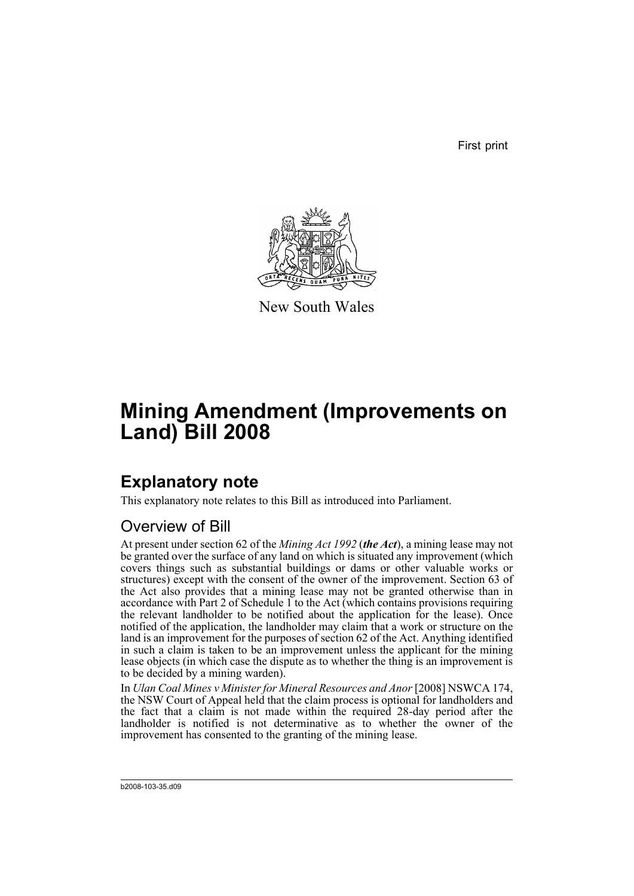First print



New South Wales

# **Mining Amendment (Improvements on Land) Bill 2008**

## **Explanatory note**

This explanatory note relates to this Bill as introduced into Parliament.

### Overview of Bill

At present under section 62 of the *Mining Act 1992* (*the Act*), a mining lease may not be granted over the surface of any land on which is situated any improvement (which covers things such as substantial buildings or dams or other valuable works or structures) except with the consent of the owner of the improvement. Section 63 of the Act also provides that a mining lease may not be granted otherwise than in accordance with Part 2 of Schedule 1 to the Act (which contains provisions requiring the relevant landholder to be notified about the application for the lease). Once notified of the application, the landholder may claim that a work or structure on the land is an improvement for the purposes of section 62 of the Act. Anything identified in such a claim is taken to be an improvement unless the applicant for the mining lease objects (in which case the dispute as to whether the thing is an improvement is to be decided by a mining warden).

In *Ulan Coal Mines v Minister for Mineral Resources and Anor* [2008] NSWCA 174, the NSW Court of Appeal held that the claim process is optional for landholders and the fact that a claim is not made within the required 28-day period after the landholder is notified is not determinative as to whether the owner of the improvement has consented to the granting of the mining lease.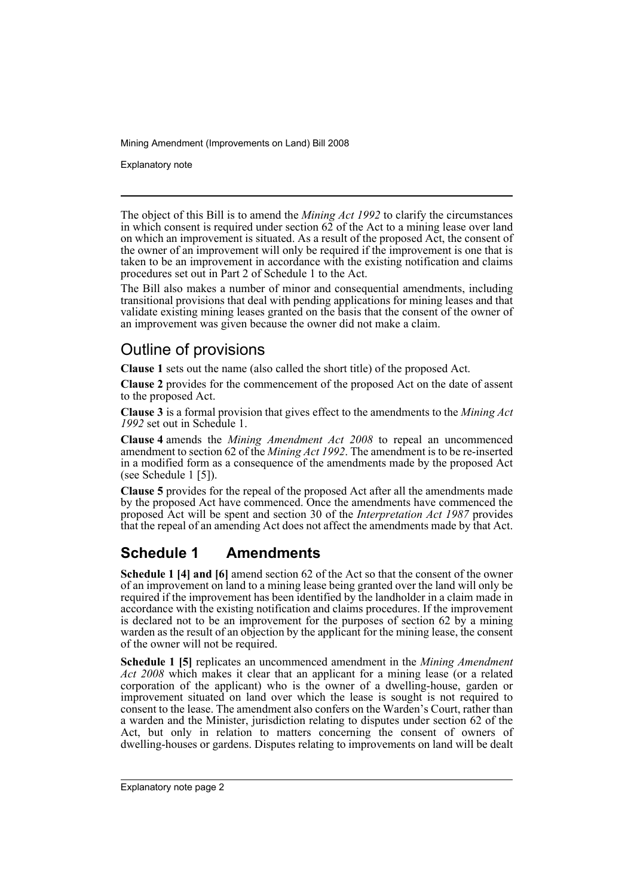Explanatory note

The object of this Bill is to amend the *Mining Act 1992* to clarify the circumstances in which consent is required under section  $62$  of the Act to a mining lease over land on which an improvement is situated. As a result of the proposed Act, the consent of the owner of an improvement will only be required if the improvement is one that is taken to be an improvement in accordance with the existing notification and claims procedures set out in Part 2 of Schedule 1 to the Act.

The Bill also makes a number of minor and consequential amendments, including transitional provisions that deal with pending applications for mining leases and that validate existing mining leases granted on the basis that the consent of the owner of an improvement was given because the owner did not make a claim.

#### Outline of provisions

**Clause 1** sets out the name (also called the short title) of the proposed Act.

**Clause 2** provides for the commencement of the proposed Act on the date of assent to the proposed Act.

**Clause 3** is a formal provision that gives effect to the amendments to the *Mining Act 1992* set out in Schedule 1.

**Clause 4** amends the *Mining Amendment Act 2008* to repeal an uncommenced amendment to section 62 of the *Mining Act 1992*. The amendment is to be re-inserted in a modified form as a consequence of the amendments made by the proposed Act (see Schedule 1 [5]).

**Clause 5** provides for the repeal of the proposed Act after all the amendments made by the proposed Act have commenced. Once the amendments have commenced the proposed Act will be spent and section 30 of the *Interpretation Act 1987* provides that the repeal of an amending Act does not affect the amendments made by that Act.

### **Schedule 1 Amendments**

**Schedule 1 [4] and [6]** amend section 62 of the Act so that the consent of the owner of an improvement on land to a mining lease being granted over the land will only be required if the improvement has been identified by the landholder in a claim made in accordance with the existing notification and claims procedures. If the improvement is declared not to be an improvement for the purposes of section 62 by a mining warden as the result of an objection by the applicant for the mining lease, the consent of the owner will not be required.

**Schedule 1 [5]** replicates an uncommenced amendment in the *Mining Amendment Act 2008* which makes it clear that an applicant for a mining lease (or a related corporation of the applicant) who is the owner of a dwelling-house, garden or improvement situated on land over which the lease is sought is not required to consent to the lease. The amendment also confers on the Warden's Court, rather than a warden and the Minister, jurisdiction relating to disputes under section 62 of the Act, but only in relation to matters concerning the consent of owners of dwelling-houses or gardens. Disputes relating to improvements on land will be dealt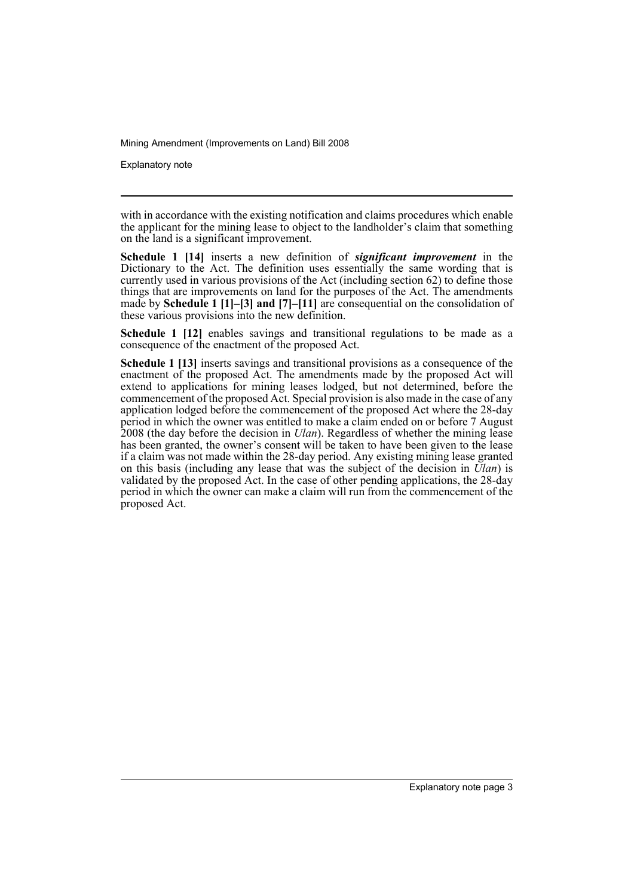Explanatory note

with in accordance with the existing notification and claims procedures which enable the applicant for the mining lease to object to the landholder's claim that something on the land is a significant improvement.

**Schedule 1 [14]** inserts a new definition of *significant improvement* in the Dictionary to the Act. The definition uses essentially the same wording that is currently used in various provisions of the Act (including section 62) to define those things that are improvements on land for the purposes of the Act. The amendments made by **Schedule 1 [1]–[3] and [7]–[11]** are consequential on the consolidation of these various provisions into the new definition.

**Schedule 1 [12]** enables savings and transitional regulations to be made as a consequence of the enactment of the proposed Act.

**Schedule 1 [13]** inserts savings and transitional provisions as a consequence of the enactment of the proposed Act. The amendments made by the proposed Act will extend to applications for mining leases lodged, but not determined, before the commencement of the proposed Act. Special provision is also made in the case of any application lodged before the commencement of the proposed Act where the 28-day period in which the owner was entitled to make a claim ended on or before 7 August 2008 (the day before the decision in *Ulan*). Regardless of whether the mining lease has been granted, the owner's consent will be taken to have been given to the lease if a claim was not made within the 28-day period. Any existing mining lease granted on this basis (including any lease that was the subject of the decision in *Ulan*) is validated by the proposed Act. In the case of other pending applications, the 28-day period in which the owner can make a claim will run from the commencement of the proposed Act.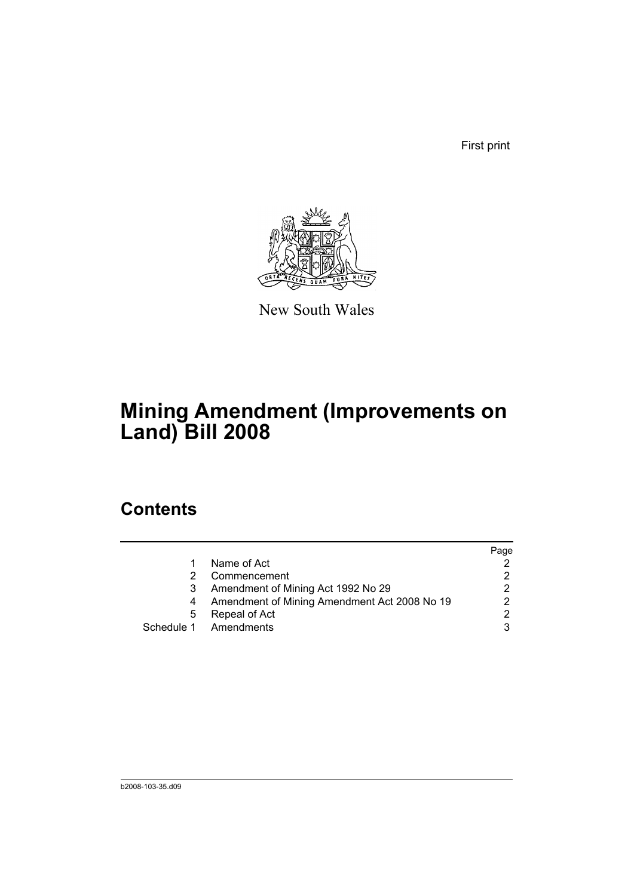First print



New South Wales

## **Mining Amendment (Improvements on Land) Bill 2008**

### **Contents**

|   |                                              | Page |
|---|----------------------------------------------|------|
|   | Name of Act                                  |      |
|   | Commencement                                 |      |
|   | Amendment of Mining Act 1992 No 29           |      |
|   | Amendment of Mining Amendment Act 2008 No 19 |      |
| 5 | Repeal of Act                                | ◠    |
|   | Schedule 1 Amendments                        |      |
|   |                                              |      |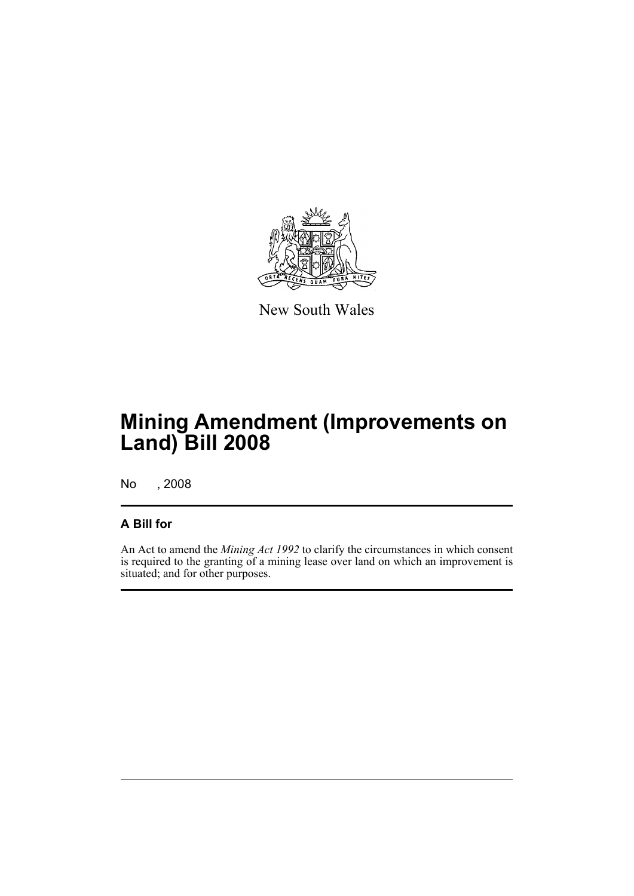

New South Wales

## **Mining Amendment (Improvements on Land) Bill 2008**

No , 2008

#### **A Bill for**

An Act to amend the *Mining Act 1992* to clarify the circumstances in which consent is required to the granting of a mining lease over land on which an improvement is situated; and for other purposes.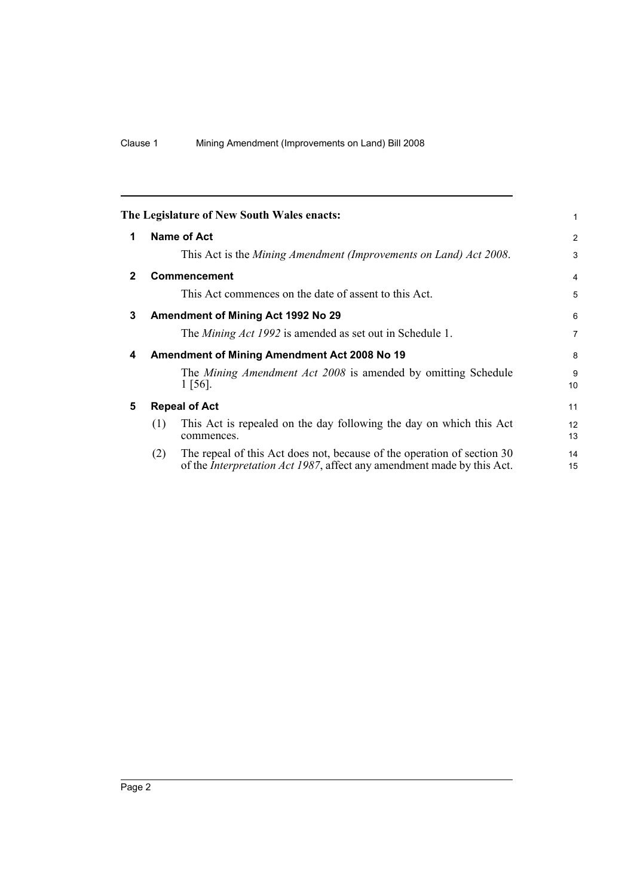<span id="page-7-4"></span><span id="page-7-3"></span><span id="page-7-2"></span><span id="page-7-1"></span><span id="page-7-0"></span>

|              |                                              | The Legislature of New South Wales enacts:                                                                                                                | 1              |  |
|--------------|----------------------------------------------|-----------------------------------------------------------------------------------------------------------------------------------------------------------|----------------|--|
| 1            |                                              | Name of Act                                                                                                                                               | 2              |  |
|              |                                              | This Act is the Mining Amendment (Improvements on Land) Act 2008.                                                                                         | 3              |  |
| $\mathbf{2}$ |                                              | <b>Commencement</b>                                                                                                                                       | 4              |  |
|              |                                              | This Act commences on the date of assent to this Act.                                                                                                     | 5              |  |
| 3            |                                              | Amendment of Mining Act 1992 No 29                                                                                                                        | 6              |  |
|              |                                              | The <i>Mining Act 1992</i> is amended as set out in Schedule 1.                                                                                           | $\overline{7}$ |  |
| 4            | Amendment of Mining Amendment Act 2008 No 19 |                                                                                                                                                           |                |  |
|              |                                              | The <i>Mining Amendment Act 2008</i> is amended by omitting Schedule<br>$1 \, [56]$ .                                                                     | 9<br>10        |  |
| 5            | <b>Repeal of Act</b>                         |                                                                                                                                                           |                |  |
|              | (1)                                          | This Act is repealed on the day following the day on which this Act<br>commences.                                                                         | 12<br>13       |  |
|              | (2)                                          | The repeal of this Act does not, because of the operation of section 30<br>of the <i>Interpretation Act 1987</i> , affect any amendment made by this Act. | 14<br>15       |  |
|              |                                              |                                                                                                                                                           |                |  |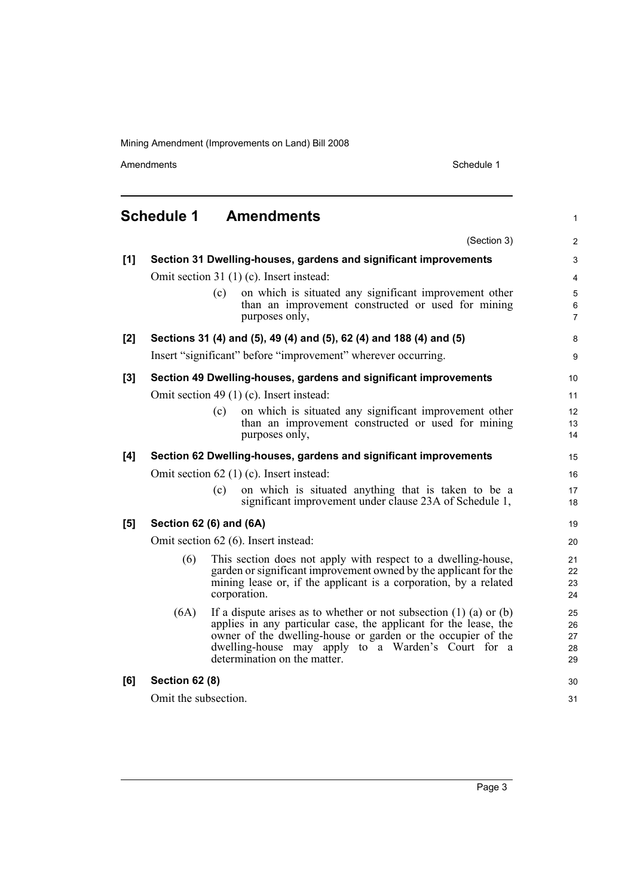Amendments **Amendments** Schedule 1

1

8 9

#### <span id="page-8-0"></span>**Schedule 1 Amendments** (Section 3) **[1] Section 31 Dwelling-houses, gardens and significant improvements** Omit section 31 (1) (c). Insert instead: (c) on which is situated any significant improvement other than an improvement constructed or used for mining purposes only, **[2] Sections 31 (4) and (5), 49 (4) and (5), 62 (4) and 188 (4) and (5)** Insert "significant" before "improvement" wherever occurring. **[3] Section 49 Dwelling-houses, gardens and significant improvements** Omit section 49 (1) (c). Insert instead: (c) on which is situated any significant improvement other than an improvement constructed or used for mining purposes only, **[4] Section 62 Dwelling-houses, gardens and significant improvements** Omit section 62 (1) (c). Insert instead: (c) on which is situated anything that is taken to be a significant improvement under clause 23A of Schedule 1, **[5] Section 62 (6) and (6A)** Omit section 62 (6). Insert instead: (6) This section does not apply with respect to a dwelling-house, garden or significant improvement owned by the applicant for the mining lease or, if the applicant is a corporation, by a related corporation. (6A) If a dispute arises as to whether or not subsection (1) (a) or (b) applies in any particular case, the applicant for the lease, the owner of the dwelling-house or garden or the occupier of the dwelling-house may apply to a Warden's Court for a determination on the matter. **[6] Section 62 (8)** Omit the subsection. 10 11 12 13 14 15 16 17 18 19 20 21 22 23 24 25 26 27 28 29 30 31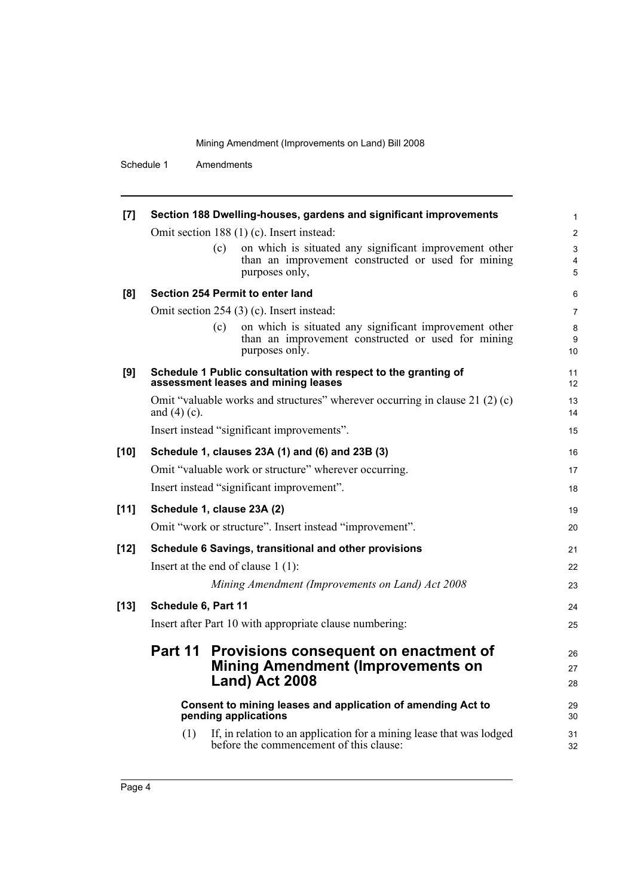Schedule 1 Amendments

| $[7]$                                                                               |                                                                                                       |     | Section 188 Dwelling-houses, gardens and significant improvements                                                              | 1                            |  |  |  |
|-------------------------------------------------------------------------------------|-------------------------------------------------------------------------------------------------------|-----|--------------------------------------------------------------------------------------------------------------------------------|------------------------------|--|--|--|
|                                                                                     | Omit section 188 (1) (c). Insert instead:                                                             |     |                                                                                                                                |                              |  |  |  |
|                                                                                     |                                                                                                       | (c) | on which is situated any significant improvement other                                                                         | 3                            |  |  |  |
|                                                                                     |                                                                                                       |     | than an improvement constructed or used for mining<br>purposes only,                                                           | $\overline{\mathbf{4}}$<br>5 |  |  |  |
| [8]                                                                                 |                                                                                                       |     | Section 254 Permit to enter land                                                                                               | 6                            |  |  |  |
|                                                                                     | Omit section 254 (3) (c). Insert instead:                                                             |     |                                                                                                                                |                              |  |  |  |
|                                                                                     |                                                                                                       | (c) | on which is situated any significant improvement other<br>than an improvement constructed or used for mining<br>purposes only. | 8<br>9<br>10                 |  |  |  |
| [9]                                                                                 | Schedule 1 Public consultation with respect to the granting of<br>assessment leases and mining leases |     |                                                                                                                                |                              |  |  |  |
|                                                                                     | Omit "valuable works and structures" wherever occurring in clause 21 (2) (c)<br>and $(4)$ (c).        |     |                                                                                                                                |                              |  |  |  |
|                                                                                     |                                                                                                       |     | Insert instead "significant improvements".                                                                                     | 15                           |  |  |  |
| $[10]$                                                                              | Schedule 1, clauses 23A (1) and (6) and 23B (3)                                                       |     |                                                                                                                                | 16                           |  |  |  |
|                                                                                     | Omit "valuable work or structure" wherever occurring.                                                 |     |                                                                                                                                |                              |  |  |  |
|                                                                                     | Insert instead "significant improvement".                                                             |     |                                                                                                                                |                              |  |  |  |
| $[11]$                                                                              | Schedule 1, clause 23A (2)                                                                            |     |                                                                                                                                | 19                           |  |  |  |
|                                                                                     |                                                                                                       |     | Omit "work or structure". Insert instead "improvement".                                                                        | 20                           |  |  |  |
| $[12]$                                                                              | Schedule 6 Savings, transitional and other provisions                                                 |     |                                                                                                                                | 21                           |  |  |  |
|                                                                                     | Insert at the end of clause $1(1)$ :                                                                  |     |                                                                                                                                |                              |  |  |  |
|                                                                                     |                                                                                                       |     | Mining Amendment (Improvements on Land) Act 2008                                                                               | 23                           |  |  |  |
| $[13]$                                                                              | Schedule 6, Part 11                                                                                   |     |                                                                                                                                | 24                           |  |  |  |
|                                                                                     | Insert after Part 10 with appropriate clause numbering:                                               |     |                                                                                                                                |                              |  |  |  |
|                                                                                     | Part 11                                                                                               |     | Provisions consequent on enactment of<br><b>Mining Amendment (Improvements on</b><br>Land) Act 2008                            | 26<br>27<br>28               |  |  |  |
| Consent to mining leases and application of amending Act to<br>pending applications |                                                                                                       |     |                                                                                                                                |                              |  |  |  |
|                                                                                     | (1)                                                                                                   |     | If, in relation to an application for a mining lease that was lodged<br>before the commencement of this clause:                | 31<br>32                     |  |  |  |
|                                                                                     |                                                                                                       |     |                                                                                                                                |                              |  |  |  |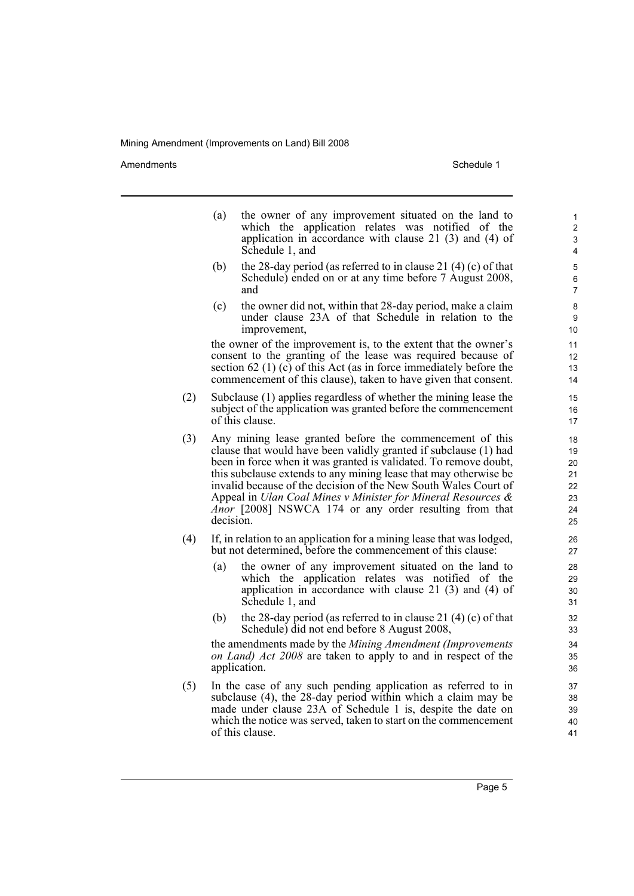Amendments **Amendments** Schedule 1

- (a) the owner of any improvement situated on the land to which the application relates was notified of the application in accordance with clause 21 (3) and (4) of Schedule 1, and
- (b) the 28-day period (as referred to in clause 21 $(4)$  (c) of that Schedule) ended on or at any time before 7 August 2008, and
- (c) the owner did not, within that 28-day period, make a claim under clause 23A of that Schedule in relation to the improvement,

the owner of the improvement is, to the extent that the owner's consent to the granting of the lease was required because of section 62 (1)  $(c)$  of this Act (as in force immediately before the commencement of this clause), taken to have given that consent.

- (2) Subclause (1) applies regardless of whether the mining lease the subject of the application was granted before the commencement of this clause.
- (3) Any mining lease granted before the commencement of this clause that would have been validly granted if subclause (1) had been in force when it was granted is validated. To remove doubt, this subclause extends to any mining lease that may otherwise be invalid because of the decision of the New South Wales Court of Appeal in *Ulan Coal Mines v Minister for Mineral Resources & Anor* [2008] NSWCA 174 or any order resulting from that decision.
- (4) If, in relation to an application for a mining lease that was lodged, but not determined, before the commencement of this clause:
	- (a) the owner of any improvement situated on the land to which the application relates was notified of the application in accordance with clause 21 (3) and (4) of Schedule 1, and
	- (b) the 28-day period (as referred to in clause 21  $(4)$  (c) of that Schedule) did not end before 8 August 2008,

the amendments made by the *Mining Amendment (Improvements on Land) Act 2008* are taken to apply to and in respect of the application.

(5) In the case of any such pending application as referred to in subclause (4), the 28-day period within which a claim may be made under clause 23A of Schedule 1 is, despite the date on which the notice was served, taken to start on the commencement of this clause.